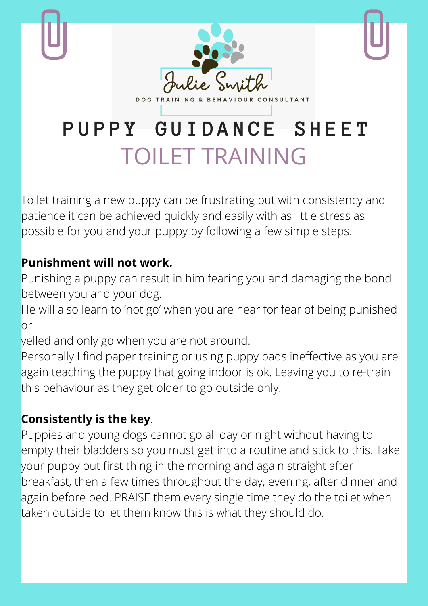

Toilet training a new puppy can be frustrating but with consistency and patience it can be achieved quickly and easily with as little stress as possible for you and your puppy by following a few simple steps.

## **Punishment will not work.**

Punishing a puppy can result in him fearing you and damaging the bond between you and your dog.

He will also learn to 'not go' when you are near for fear of being punished or

yelled and only go when you are not around.

Personally I find paper training or using puppy pads ineffective as you are again teaching the puppy that going indoor is ok. Leaving you to re-train this behaviour as they get older to go outside only.

## **Consistently is the key**.

Puppies and young dogs cannot go all day or night without having to empty their bladders so you must get into a routine and stick to this. Take your puppy out first thing in the morning and again straight after breakfast, then a few times throughout the day, evening, after dinner and again before bed. PRAISE them every single time they do the toilet when taken outside to let them know this is what they should do.